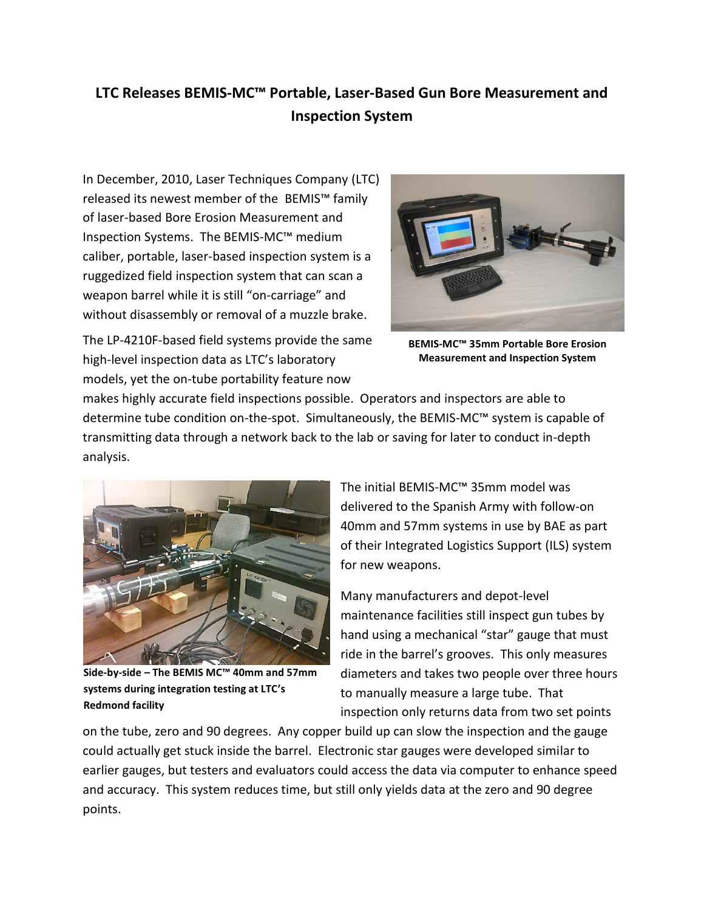## **LTC Releases BEMIS-MC™ Portable, Laser-Based Gun Bore Measurement and Inspection System**

In December, 2010, Laser Techniques Company (LTC) released its newest member of the BEMIS™ family of laser-based Bore Erosion Measurement and Inspection Systems. The BEMIS-MC™ medium caliber, portable, laser-based inspection system is a ruggedized field inspection system that can scan a weapon barrel while it is still "on-carriage" and without disassembly or removal of a muzzle brake.



The LP-4210F-based field systems provide the same high-level inspection data as LTC's laboratory models, yet the on-tube portability feature now

**BEMIS-MC™ 35mm Portable Bore Erosion Measurement and Inspection System**

makes highly accurate field inspections possible. Operators and inspectors are able to determine tube condition on-the-spot. Simultaneously, the BEMIS-MC™ system is capable of transmitting data through a network back to the lab or saving for later to conduct in-depth analysis.



**Side-by-side – The BEMIS MC™ 40mm and 57mm systems during integration testing at LTC's Redmond facility**

The initial BEMIS-MC™ 35mm model was delivered to the Spanish Army with follow-on 40mm and 57mm systems in use by BAE as part of their Integrated Logistics Support (ILS) system for new weapons.

Many manufacturers and depot-level maintenance facilities still inspect gun tubes by hand using a mechanical "star" gauge that must ride in the barrel's grooves. This only measures diameters and takes two people over three hours to manually measure a large tube. That inspection only returns data from two set points

on the tube, zero and 90 degrees. Any copper build up can slow the inspection and the gauge could actually get stuck inside the barrel. Electronic star gauges were developed similar to earlier gauges, but testers and evaluators could access the data via computer to enhance speed and accuracy. This system reduces time, but still only yields data at the zero and 90 degree points.